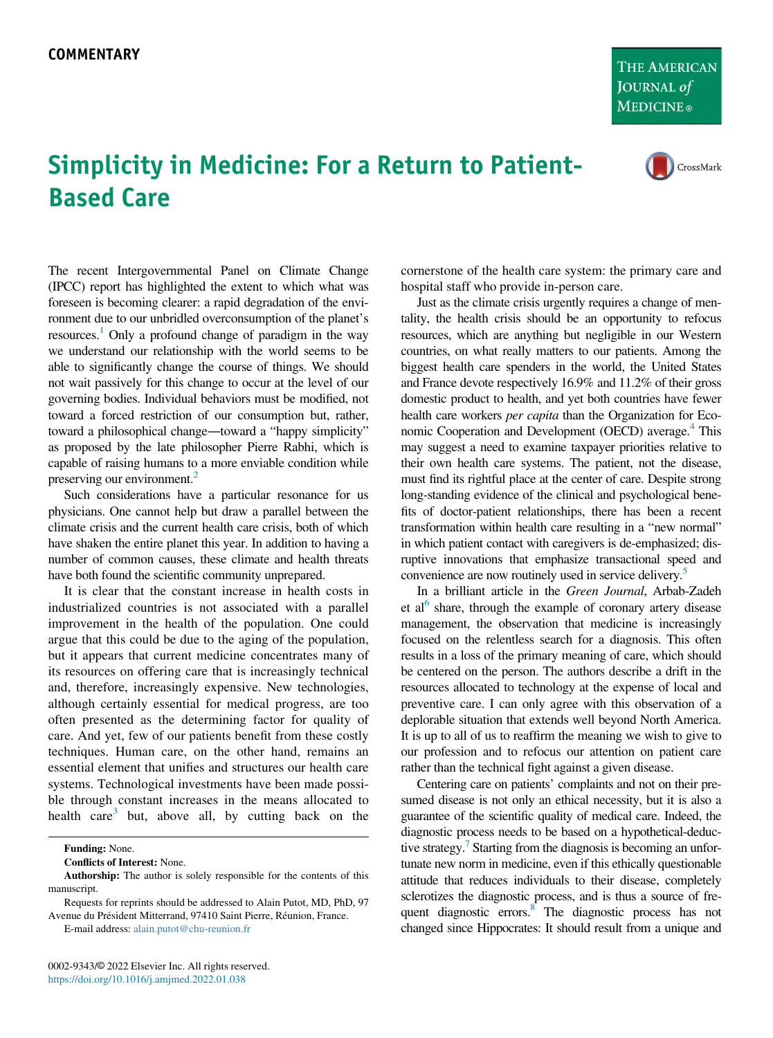THE AMERICAN **JOURNAL** of **MEDICINE**®



## Simplicity in Medicine: For a Return to Patient-Based Care

The recent Intergovernmental Panel on Climate Change (IPCC) report has highlighted the extent to which what was foreseen is becoming clearer: a rapid degradation of the environment due to our unbridled overconsumption of the planet's resources[.1](#page-1-0) Only a profound change of paradigm in the way we understand our relationship with the world seems to be able to significantly change the course of things. We should not wait passively for this change to occur at the level of our governing bodies. Individual behaviors must be modified, not toward a forced restriction of our consumption but, rather, toward a philosophical change—toward a "happy simplicity" as proposed by the late philosopher Pierre Rabhi, which is capable of raising humans to a more enviable condition while preserving our environment.<sup>2</sup>

Such considerations have a particular resonance for us physicians. One cannot help but draw a parallel between the climate crisis and the current health care crisis, both of which have shaken the entire planet this year. In addition to having a number of common causes, these climate and health threats have both found the scientific community unprepared.

It is clear that the constant increase in health costs in industrialized countries is not associated with a parallel improvement in the health of the population. One could argue that this could be due to the aging of the population, but it appears that current medicine concentrates many of its resources on offering care that is increasingly technical and, therefore, increasingly expensive. New technologies, although certainly essential for medical progress, are too often presented as the determining factor for quality of care. And yet, few of our patients benefit from these costly techniques. Human care, on the other hand, remains an essential element that unifies and structures our health care systems. Technological investments have been made possible through constant increases in the means allocated to health care<sup>[3](#page-1-2)</sup> but, above all, by cutting back on the

Funding: None.

Conflicts of Interest: None.

Requests for reprints should be addressed to Alain Putot, MD, PhD, 97 Avenue du Président Mitterrand, 97410 Saint Pierre, Réunion, France.

E-mail address: [alain.putot@chu-reunion.fr](mailto:alain.putot@chu-reunion.fr)

cornerstone of the health care system: the primary care and hospital staff who provide in-person care.

Just as the climate crisis urgently requires a change of mentality, the health crisis should be an opportunity to refocus resources, which are anything but negligible in our Western countries, on what really matters to our patients. Among the biggest health care spenders in the world, the United States and France devote respectively 16.9% and 11.2% of their gross domestic product to health, and yet both countries have fewer health care workers per capita than the Organization for Economic Cooperation and Development (OECD) average.<sup>4</sup> This may suggest a need to examine taxpayer priorities relative to their own health care systems. The patient, not the disease, must find its rightful place at the center of care. Despite strong long-standing evidence of the clinical and psychological benefits of doctor-patient relationships, there has been a recent transformation within health care resulting in a "new normal" in which patient contact with caregivers is de-emphasized; disruptive innovations that emphasize transactional speed and convenience are now routinely used in service delivery[.5](#page-1-4)

In a brilliant article in the Green Journal, Arbab-Zadeh et al<sup>6</sup> share, through the example of coronary artery disease management, the observation that medicine is increasingly focused on the relentless search for a diagnosis. This often results in a loss of the primary meaning of care, which should be centered on the person. The authors describe a drift in the resources allocated to technology at the expense of local and preventive care. I can only agree with this observation of a deplorable situation that extends well beyond North America. It is up to all of us to reaffirm the meaning we wish to give to our profession and to refocus our attention on patient care rather than the technical fight against a given disease.

Centering care on patients' complaints and not on their presumed disease is not only an ethical necessity, but it is also a guarantee of the scientific quality of medical care. Indeed, the diagnostic process needs to be based on a hypothetical-deduc-tive strategy.<sup>[7](#page-1-6)</sup> Starting from the diagnosis is becoming an unfortunate new norm in medicine, even if this ethically questionable attitude that reduces individuals to their disease, completely sclerotizes the diagnostic process, and is thus a source of frequent diagnostic errors.<sup>8</sup> The diagnostic process has not changed since Hippocrates: It should result from a unique and

Authorship: The author is solely responsible for the contents of this manuscript.